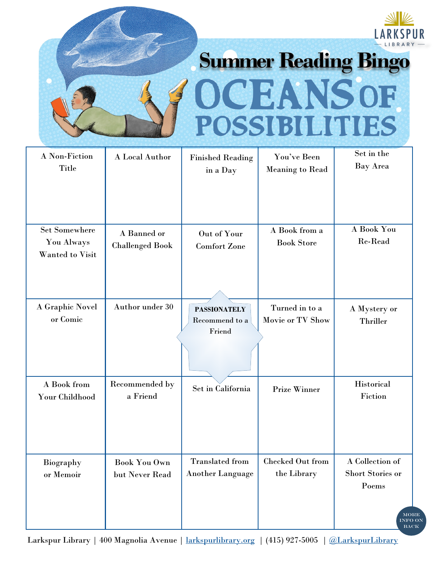# **Summer Reading Bingo** CEANSOF **TTTES** POSSIB H

| A Non-Fiction<br><b>Title</b>                         | A Local Author                        | <b>Finished Reading</b><br>in a Day             | You've Been<br><b>Meaning to Read</b> | Set in the<br>Bay Area                       |
|-------------------------------------------------------|---------------------------------------|-------------------------------------------------|---------------------------------------|----------------------------------------------|
|                                                       |                                       |                                                 |                                       |                                              |
| <b>Set Somewhere</b><br>You Always<br>Wanted to Visit | A Banned or<br><b>Challenged Book</b> | Out of Your<br><b>Comfort Zone</b>              | A Book from a<br><b>Book Store</b>    | A Book You<br>Re-Read                        |
| A Graphic Novel<br>or Comic                           | Author under 30                       | <b>PASSIONATELY</b><br>Recommend to a<br>Friend | Turned in to a<br>Movie or TV Show    | A Mystery or<br>Thriller                     |
|                                                       |                                       |                                                 |                                       |                                              |
| A Book from<br>Your Childhood                         | Recommended by<br>a Friend            | Set in California                               | <b>Prize Winner</b>                   | <b>Historical</b><br>Fiction                 |
|                                                       |                                       | <b>Translated</b> from                          | Checked Out from                      | A Collection of                              |
| Biography<br>or Memoir                                | <b>Book You Own</b><br>but Never Read | <b>Another Language</b>                         | the Library                           | Short Stories or<br>Poems                    |
|                                                       |                                       |                                                 |                                       | <b>MORE</b><br><b>INFO ON</b><br><b>BACK</b> |